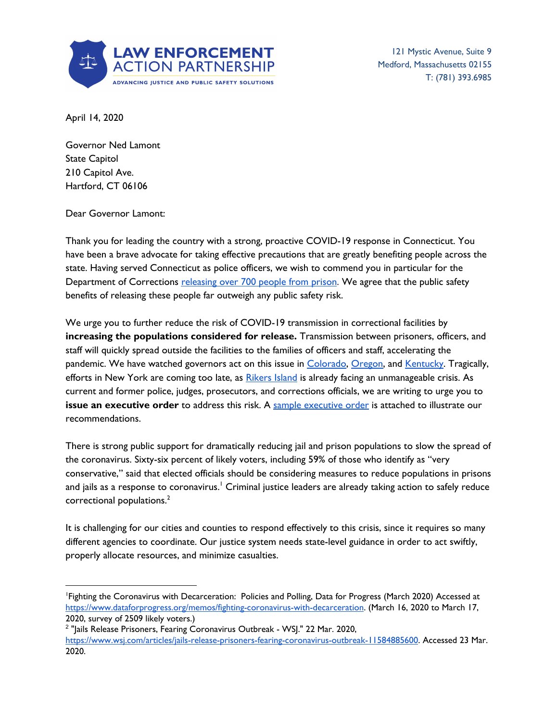

121 Mystic Avenue, Suite 9 Medford, Massachusetts 02155 T: (781) 393.6985

April 14, 2020

Governor Ned Lamont State Capitol 210 Capitol Ave. Hartford, CT 06106

Dear Governor Lamont:

Thank you for leading the country with a strong, proactive COVID-19 response in Connecticut. You have been a brave advocate for taking effective precautions that are greatly benefiting people across the state. Having served Connecticut as police officers, we wish to commend you in particular for the Department of Corrections [releasing](https://www.ctpost.com/news/coronavirus/article/State-prisons-releasing-inmates-due-to-15182364.php) over 700 people from prison. We agree that the public safety benefits of releasing these people far outweigh any public safety risk.

We urge you to further reduce the risk of COVID-19 transmission in correctional facilities by **increasing the populations considered for release.** Transmission between prisoners, officers, and staff will quickly spread outside the facilities to the families of officers and staff, accelerating the pandemic. We have watched governors act on this issue in [Colorado](https://www.denverpost.com/2020/03/26/polis-executive-orders-coronavirus-relief/), [Oregon,](https://www.statesmanjournal.com/story/news/crime/2020/04/11/positive-conronavirus-cases-oregon-state-prison-inmates-early-release/5126456002/) and [Kentucky.](https://www.wdrb.com/news/kentucky-plans-to-release-more-than-900-prisoners-because-of-the-covid-19-outbreak/article_aef84282-7541-11ea-8a18-efe5a8cf107d.html) Tragically, efforts in New York are coming too late, as [Rikers](https://www.theguardian.com/us-news/2020/apr/01/rikers-island-jail-coronavirus-public-health-disaster) Island is already facing an unmanageable crisis. As current and former police, judges, prosecutors, and corrections officials, we are writing to urge you to **issue an [executive](https://lawenforcementactionpartnership.org/covid-19-exec-order-sample/) order** to address this risk. A sample executive order is attached to illustrate our recommendations.

There is strong public support for dramatically reducing jail and prison populations to slow the spread of the coronavirus. Sixty-six percent of likely voters, including 59% of those who identify as "very conservative," said that elected officials should be considering measures to reduce populations in prisons and jails as a response to coronavirus.' Criminal justice leaders are already taking action to safely reduce correctional populations. 2

It is challenging for our cities and counties to respond effectively to this crisis, since it requires so many different agencies to coordinate. Our justice system needs state-level guidance in order to act swiftly, properly allocate resources, and minimize casualties.

<sup>1</sup>Fighting the Coronavirus with Decarceration: Policies and Polling, Data for Progress (March 2020) Accessed at <https://www.dataforprogress.org/memos/fighting-coronavirus-with-decarceration>. (March 16, 2020 to March 17, 2020, survey of 2509 likely voters.)

<sup>&</sup>lt;sup>2</sup> "Jails Release Prisoners, Fearing Coronavirus Outbreak - WSJ." 22 Mar. 2020, <https://www.wsj.com/articles/jails-release-prisoners-fearing-coronavirus-outbreak-11584885600>. Accessed 23 Mar. 2020.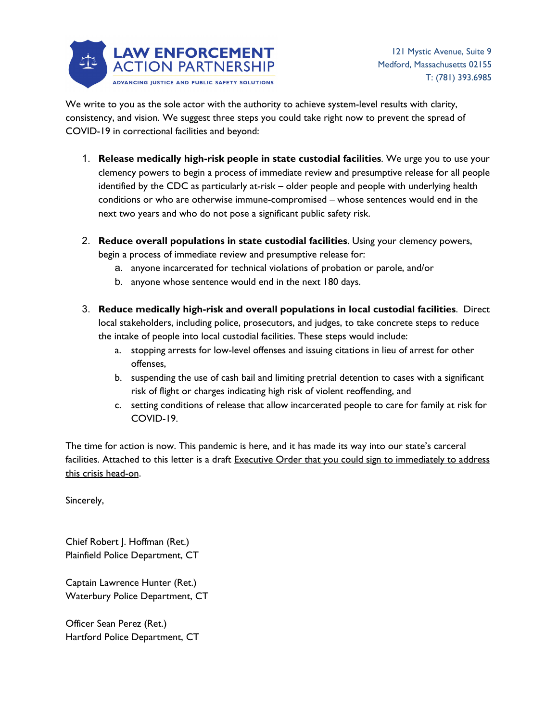

We write to you as the sole actor with the authority to achieve system-level results with clarity, consistency, and vision. We suggest three steps you could take right now to prevent the spread of COVID-19 in correctional facilities and beyond:

- 1. **Release medically high-risk people in state custodial facilities**. We urge you to use your clemency powers to begin a process of immediate review and presumptive release for all people identified by the CDC as particularly at-risk – older people and people with underlying health conditions or who are otherwise immune-compromised – whose sentences would end in the next two years and who do not pose a significant public safety risk.
- 2. **Reduce overall populations in state custodial facilities**. Using your clemency powers, begin a process of immediate review and presumptive release for:
	- a. anyone incarcerated for technical violations of probation or parole, and/or
	- b. anyone whose sentence would end in the next 180 days.
- 3. **Reduce medically high-risk and overall populations in local custodial facilities**. Direct local stakeholders, including police, prosecutors, and judges, to take concrete steps to reduce the intake of people into local custodial facilities. These steps would include:
	- a. stopping arrests for low-level offenses and issuing citations in lieu of arrest for other offenses,
	- b. suspending the use of cash bail and limiting pretrial detention to cases with a significant risk of flight or charges indicating high risk of violent reoffending, and
	- c. setting conditions of release that allow incarcerated people to care for family at risk for COVID-19.

The time for action is now. This pandemic is here, and it has made its way into our state's carceral facilities. Attached to this letter is a draft Executive Order that you could sign to immediately to address this crisis head-on.

Sincerely,

Chief Robert J. Hoffman (Ret.) Plainfield Police Department, CT

Captain Lawrence Hunter (Ret.) Waterbury Police Department, CT

Officer Sean Perez (Ret.) Hartford Police Department, CT